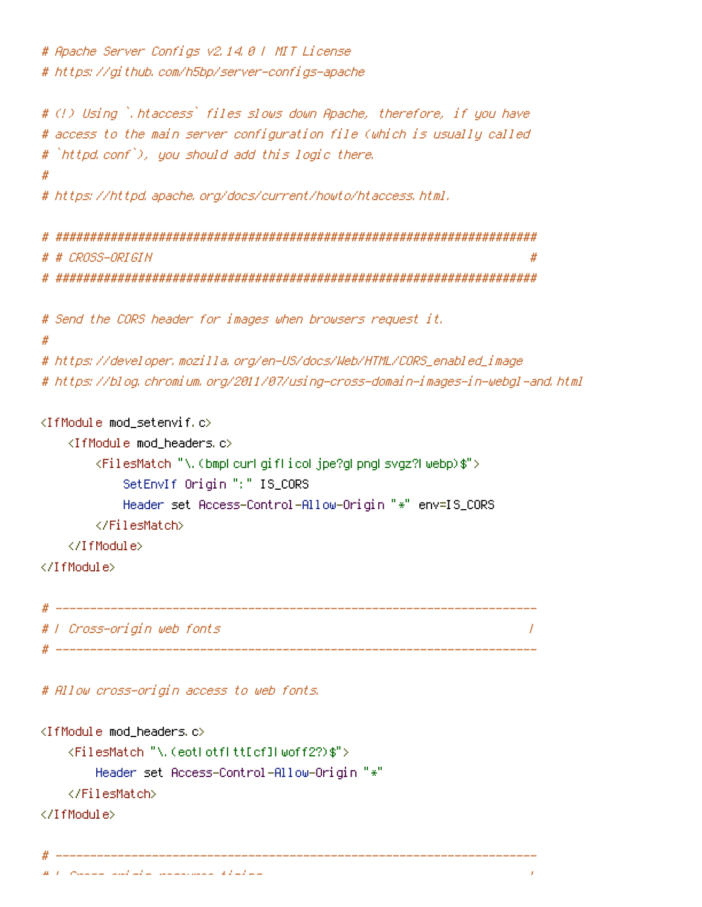```
# Apache Server Configs v2.14.0 | MIT License
# https://github.com/h5bp/server-configs-apache
# (!) Using `.htaccess` files slows down Apache, therefore, if you have
# access to the main server configuration file (which is usually called
# `httpd.conf`), you should add this logic there.
# https://httpd.apache.org/docs/current/howto/htaccess.html.
# # CROSS-ORIGIN
# Send the CORS header for images when browsers request it.
\boldsymbol{\#}# https://developer.mozilla.org/en-US/docs/Web/HTML/CORS_enabled_image
# https://blog.chromium.org/2011/07/using-cross-domain-images-in-webgl-and.html
<IfModule mod_setenvif.c>
   <IfModule mod headers.c>
      <FilesMatch "\.(bmpLcurLgifLicoLjpe?gLpngLsvgz?Lwebp)$">
         SetEnvIf Origin ":" IS_CORS
         Header set Access-Control-Allow-Origin "*" env=IS_CORS
      </FilesMatch>
   </TifModule>
</TfModule>
# | Cross-origin web fonts
                                                       \overline{1}
```
# Allow cross-origin access to web fonts.

```
<IfModule mod_headers.c>
    <FilesMatch "\.(eotLotfLtt[cf]Lwoff2?)$">
        Header set Access-Control-Allow-Origin "*"
    </FilesMatch>
</TfModule>
```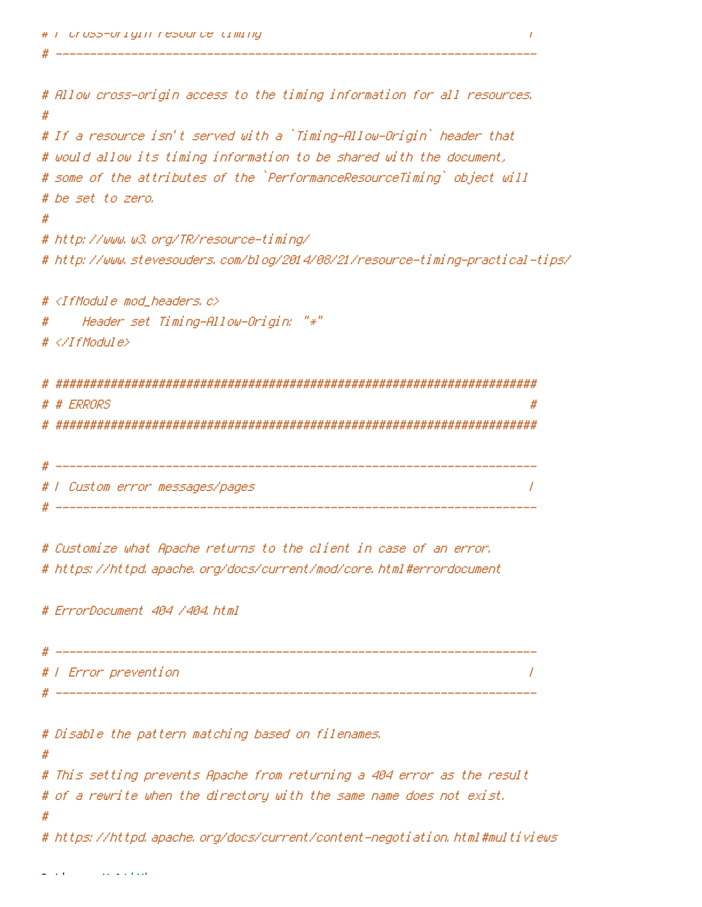```
# F Uross-origin resource timing
```

```
# Allow cross-origin access to the timing information for all resources.
#
# If a resource isn't served with a `Timing-Allow-Origin` header that
# would allow its timing information to be shared with the document,
# some of the attributes of the `PerformanceResourceTiming` object will
# be set to zero,
#
# http://www.w3.org/TR/resource-timing/
# http://www.stevesouders.com/blog/2014/08/21/resource-timing-practical-tips/
# <IfModule mod headers,c>
    Header set Timing-Allow-Origin: "*"
#
# </IfModule>
 # # ERRORS
# | Custom error messages/pages
                                                  \overline{1}# Customize what Apache returns to the client in case of an error.
```
# https://httpd.apache.org/docs/current/mod/core.html#errordocument

# ErrorDocument 404 /404.html

| # |                      |  |
|---|----------------------|--|
|   | # / Error prevention |  |
|   |                      |  |

# Disable the pattern matching based on filenames.

 $#$ 

# This setting prevents Apache from returning a 404 error as the result # of a rewrite when the directory with the same name does not exist.

# https://httpd.apache.org/docs/current/content-negotiation.html#multiviews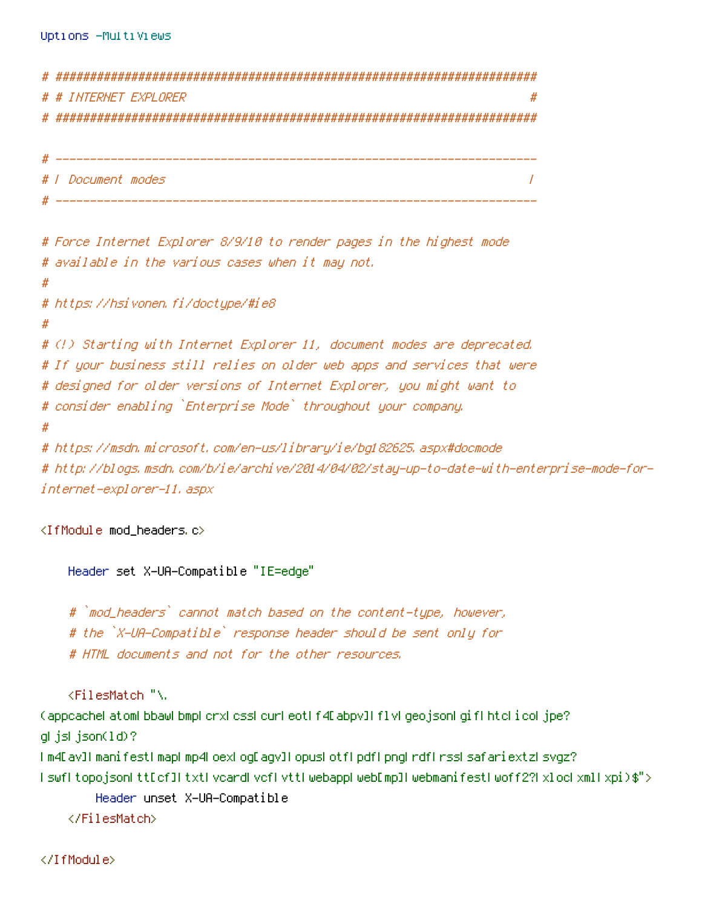```
# INTERNET EXPLORER
                                                        #
_____________
 I Document modes
                                                       \overline{1}# Force Internet Explorer 8/9/10 to render pages in the highest mode
# available in the various cases when it may not.
#
# https://hsivonen.fi/doctype/#ie8
#
# (!) Starting with Internet Explorer 11, document modes are deprecated.
# If your business still relies on older web apps and services that were
# designed for older versions of Internet Explorer, you might want to
# consider enabling `Enterprise Mode` throughout your company.
# https://msdn.microsoft.com/en-us/library/ie/bg182625.aspx#docmode
# http://blogs.msdn.com/b/ie/archive/2014/04/02/stay-up-to-date-with-enterprise-mode-for-
internet-explorer-11, aspx
```

```
<IfModule mod_headers.c>
```

```
Header set X-UA-Compatible "IE=edge"
```
# `mod\_headers` cannot match based on the content-type, however, # the `X-UA-Compatible` response header should be sent only for # HTML documents and not for the other resources.

<FilesMatch "\.

(appcachel atoml bbawl bmpl crxl cssl curl eotl f4D abpv]l f1vl geojsonl gifl htcl i col jpe? glijslijson(1d)?

```
I m4E av]I manifestI mapI mp4LoexLogEagv]I opusLotfLpdfLpngLrdfLrssLsafariextzLsvgz?
lswfltopojsonLttEcf]LtxtLvcardLvcfLvttLwebappLwebEmp]LwebmanifestLwoff2?LxlocLxmlLxpi)$">
```

```
Header unset X-UA-Compatible
</FilesMatch>
```
</IfModule>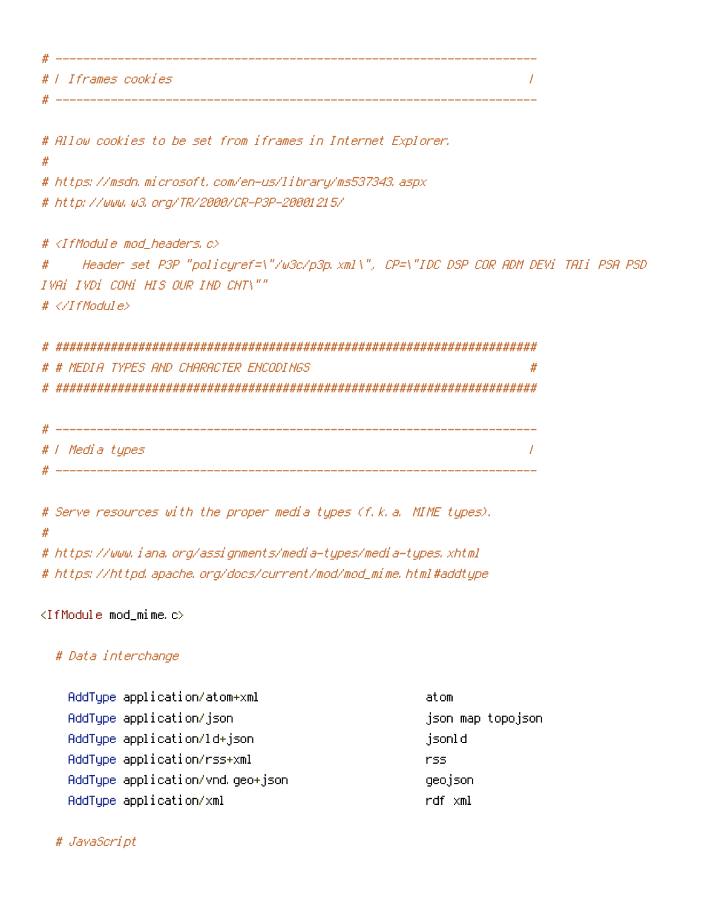# | Iframes cookies  $\overline{I}$ \_\_\_\_\_\_\_\_\_\_\_\_\_\_

# Allow cookies to be set from iframes in Internet Explorer.

 $\boldsymbol{\mathcal{H}}$ 

# https://msdn.microsoft.com/en-us/library/ms537343.aspx # http://www.w3.org/TR/2000/CR-P3P-20001215/

# <IfModule mod\_headers.c>

Header set P3P "policyref=\"/w3c/p3p.xml\", CP=\"IDC DSP COR ADM DEVi TAIi PSA PSD  $#$ IVAI IVDI CONI HIS OUR IND CNT\""  $# \ll 1$ f Modul e $>$ 

# # MEDIA TYPES AND CHARACTER ENCODINGS  $\boldsymbol{\#}$ 

| # |                 |  |
|---|-----------------|--|
|   | # / Media types |  |
| Ш |                 |  |

# Serve resources with the proper media types (f.k.a. MIME types).  $#$ # https://www.iana.org/assignments/media-types/media-types.xhtml # https://httpd.apache.org/docs/current/mod/mod\_mime.html#addtupe

 $\langle$ IfModule mod\_mime.c $\rangle$ 

## # Data interchange

| AddType application/atom+xml     | atom              |
|----------------------------------|-------------------|
| AddType application/json         | json map topojson |
| AddType application/ld+json      | jsonld            |
| AddType application/rss+xml      | rss               |
| AddType application/vnd.geo+json | geojson           |
| AddType application/xml          | rdf xml           |

## # JavaScript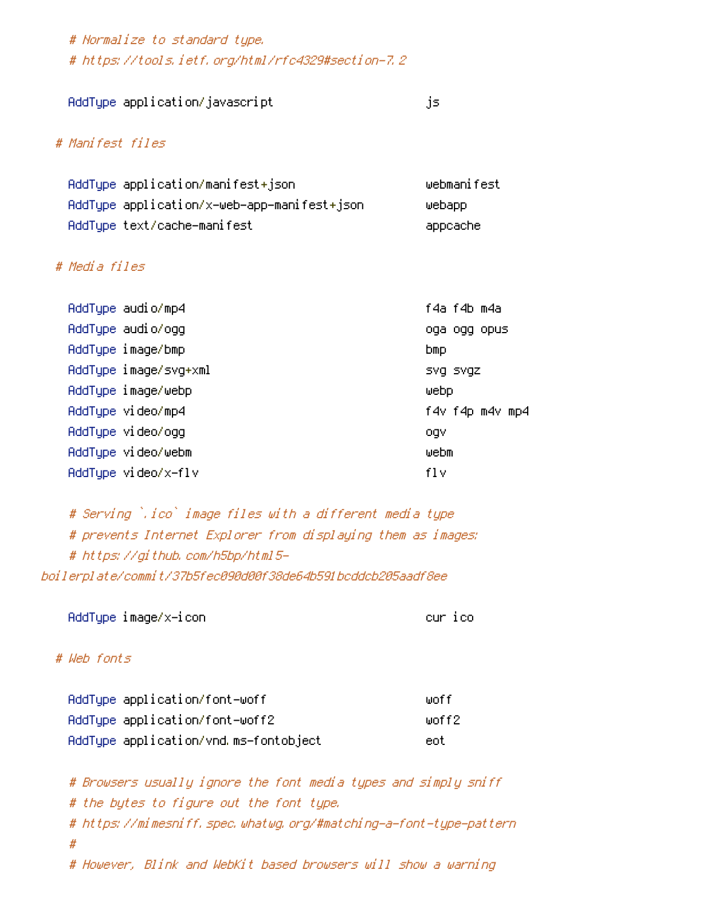# Normalize to standard type. # https://tools.ietf.org/html/rfc4329#section-7.2

| AddType application/javascript |  |
|--------------------------------|--|
|                                |  |

.is.

### # Manifest files

| AddType application/manifest+json           | webmanifest |
|---------------------------------------------|-------------|
| AddType application/x-web-app-manifest+json | webapp      |
| AddTupe text/cache-manifest                 | appcache    |

### # Media files

| AddType audio/mp4     | f4a f4b m4a     |
|-----------------------|-----------------|
| AddTupe audio/ogg     | oga ogg opus    |
| AddType image/bmp     | <b>bmp</b>      |
| AddType image/svg+xml | SVG SVGZ        |
| AddType image/webp    | WebD            |
| AddTupe video/mp4     | f4v f4p m4v mp4 |
| AddType video/ogg     | ogv             |
| AddTupe video/webm    | webm            |
| AddTupe video/x-flv   | fl v            |

# Serving `.ico` image files with a different media type # prevents Internet Explorer from displaying them as images: # https://github.com/h5bp/html5boilerplate/commit/37b5fec090d00f38de64b591bcddcb205aadf8ee

AddType image/x-icon

cur ico

## # Web fonts

| AddTupe application/font-woff         | woff   |
|---------------------------------------|--------|
| AddType application/font-woff2        | woff2. |
| AddType application/vnd.ms-fontobject | eot    |

# Browsers usually ignore the font media types and simply sniff # the bytes to figure out the font type. # https://mimesniff.spec.whatwg.org/#matching-a-font-type-pattern  $#$ # However, Blink and WebKit based browsers will show a warning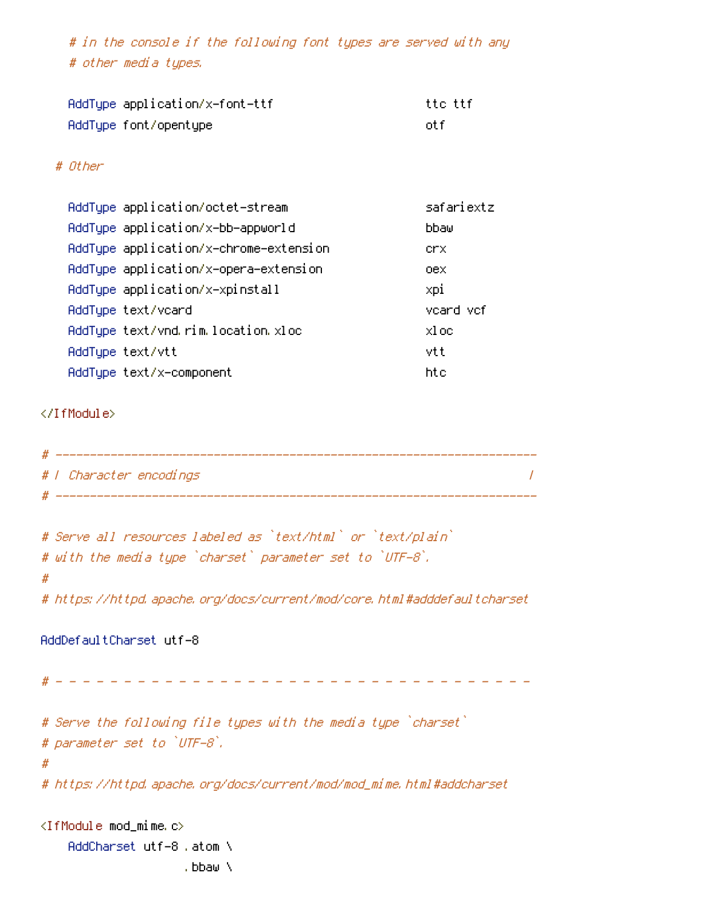# in the console if the following font types are served with any # other media types.

| AddType application/x-font-ttf | tto ttf |
|--------------------------------|---------|
| AddType font/opentype          | nt fi   |

### # Other

| AddTupe application/octet-stream       | safariextz |
|----------------------------------------|------------|
| AddTupe application/x-bb-appworld      | bbaw       |
| AddType application/x-chrome-extension | crx.       |
| AddType application/x-opera-extension  | oex.       |
| AddType application/x-xpinstall        | xpi        |
| AddType text/vcard                     | vcard vcf  |
| AddType text/vnd.rim.location.xloc     | xloc       |
| AddTupe text/vtt                       | vtt        |
| AddTupe text/x-component               | htc        |

### </IfModule>

| # |                         |  |
|---|-------------------------|--|
|   | # / Character encodings |  |
| ₩ |                         |  |

```
# Serve all resources labeled as `text/html` or `text/plain`
# with the media type `charset` parameter set to `UTF-8`.
#
```
# https://httpd.apache.org/docs/current/mod/core.html#adddefaultcharset

### AddDefaultCharset utf-8

# # Serve the following file types with the media type `charset` # parameter set to `UTF-8`,  $#$ # https://httpd.apache.org/docs/current/mod/mod\_mime.html#addcharset <IfModule mod\_mime.c>

AddCharset utf-8, atom \ , bbaw \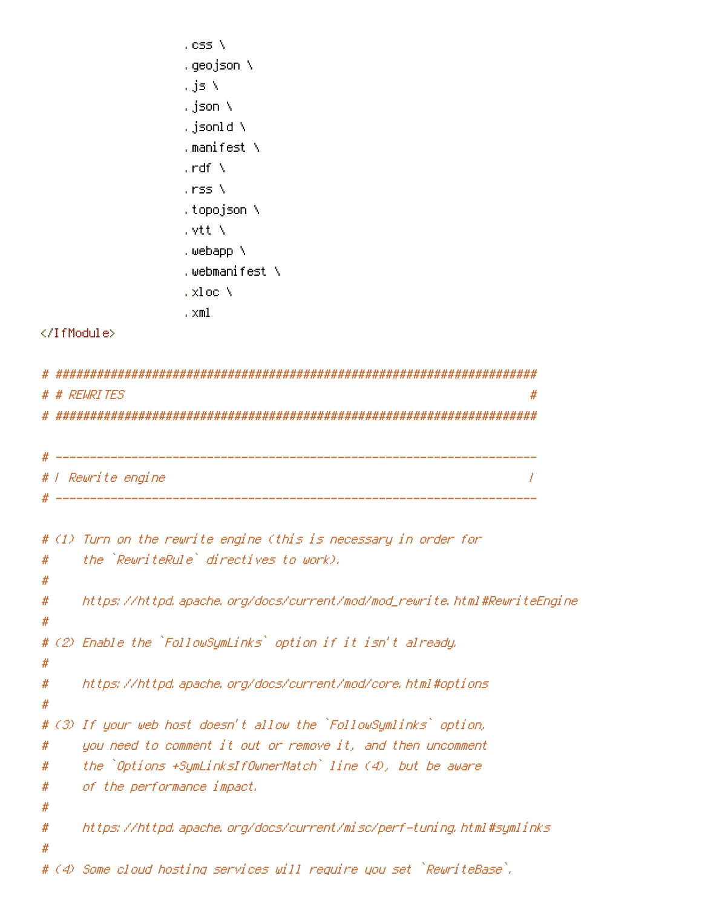- , css  $N$ , geojson  $\lambda$ , js  $\bar{\nabla}$ , json  $\lambda$ .json $1d \Delta$ , manifest  $\lambda$ , rdf  $\Delta$ , rss N , topojson \ , vtt $\lambda$ , webapp  $\lambda$ .webmanifest ∖ , xl oc $\lambda$ 
	- ,  $\times$ ml

```
</IfModule>
```

|        | # # REWRITES                                                             | # |
|--------|--------------------------------------------------------------------------|---|
|        | # / Rewrite engine                                                       |   |
|        |                                                                          |   |
|        | # (1) Turn on the rewrite engine (this is necessary in order for         |   |
| #<br># | the `RewriteRule` directives to work).                                   |   |
| #<br># | https://httpd.apache.org/docs/current/mod/mod_rewrite.html#RewriteEngine |   |
| #      | # (2) Enable the `FollowSymLinks` option if it isn't already.            |   |
| #<br># | https://httpd.apache.org/docs/current/mod/core.html#options              |   |
|        | # (3) If your web host doesn't allow the `FollowSymlinks` option,        |   |
| #      | you need to comment it out or remove it, and then uncomment              |   |
| #      | the `Options +SymLinksIfOwnerMatch` line (4), but be aware               |   |
| #<br># | of the performance impact.                                               |   |
| #<br># | https://httpd.apache.org/docs/current/misc/perf-tuning.html#symlinks     |   |
|        | # (4) Some cloud hosting services will require you set `RewriteBase`.    |   |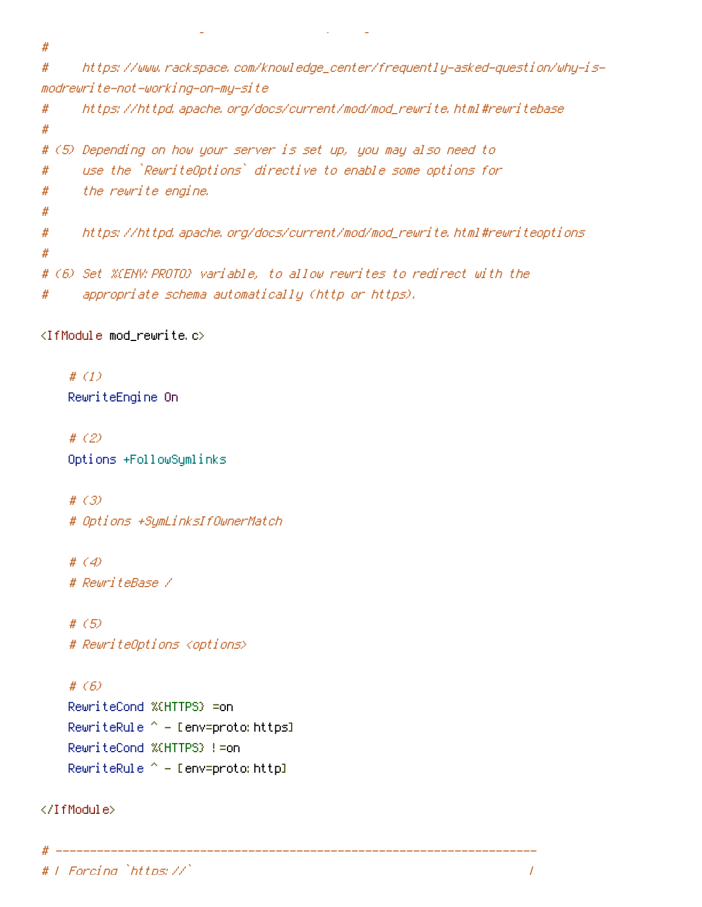$#$ 

https://www.rackspace.com/knowledge\_center/frequently-asked-question/why-is-# modrewrite-not-working-on-my-site

```
https://httpd.apache.org/docs/current/mod/mod_rewrite.html#rewritebase
#
#
# (5) Depending on how your server is set up, you may also need to
     use the `RewriteOptions` directive to enable some options for
#the rewrite engine.
#
#
     https://httpd.apache.org/docs/current/mod/mod_rewrite.html#rewriteoptions
#
## (6) Set %(ENV:PROTO) variable, to allow rewrites to redirect with the
     appropriate schema automatically (http or https).
#
```
<IfModule mod rewrite.c>

# $(1)$ RewriteEngine On

# $(2)$ Options +FollowSymlinks

#  $(3)$ # Options +SymLinksIfOwnerMatch

#  $\langle 4 \rangle$ # RewriteBase /

#  $(5)$ # RewriteOptions <options>

#  $(6)$ RewriteCond %(HTTPS) =on RewriteRule  $^{\sim}$  - [env=proto: https] RewriteCond %(HTTPS) != on RewriteRule  $^{\wedge}$  - [env=proto: http]

</IfModule>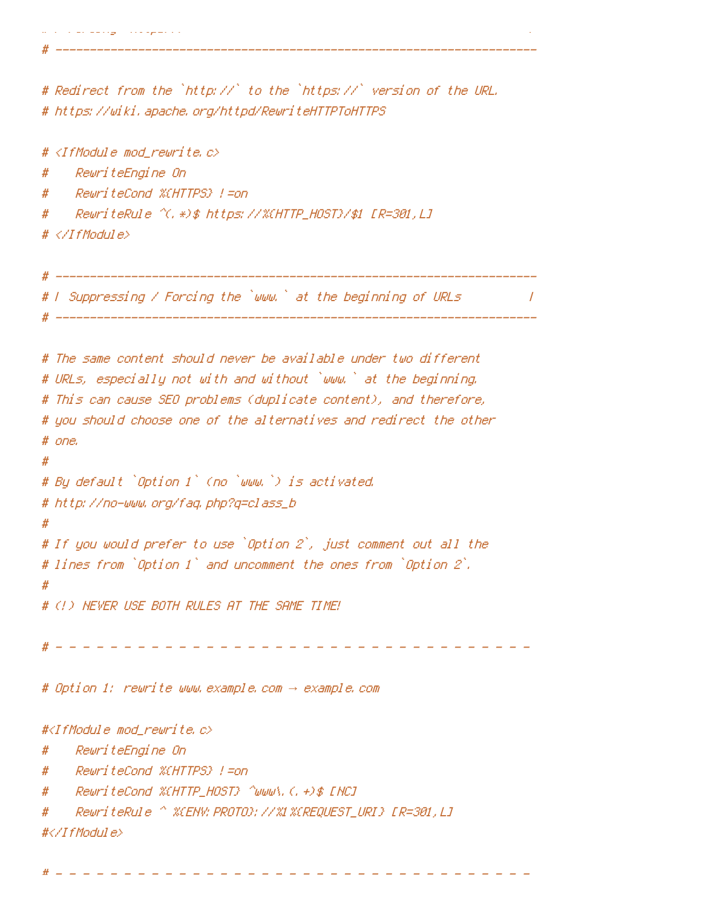# Redirect from the `http://` to the `https://` version of the URL. # https://wiki.apache.org/httpd/RewriteHTTPToHTTPS

# <IfModule mod\_rewrite.c>

RewriteEngine On #

RewriteCond %(HTTPS) !=on #

#

# </IfModule>

# F Suppressing / Forcing the `www.` at the beginning of URLs  $\overline{\phantom{a}}$ 

```
# The same content should never be available under two different
# URLs, especially not with and without `www.` at the beginning.
# This can cause SEO problems (duplicate content), and therefore,
# you should choose one of the alternatives and redirect the other
# one.
#
# By default `Option 1` (no `www.`) is activated.
# http://no-www.org/faq.php?q=class_b
# If you would prefer to use `Option 2`, just comment out all the
# lines from `Option 1` and uncomment the ones from `Option 2`.
## (!) NEVER USE BOTH RULES AT THE SAME TIME!
# Option 1: rewrite www.example.com → example.com
#<IfModule mod_rewrite.c>
    RewriteEngine On
#
    RewriteCond %(HTTPS) != on
#
    RewriteCond %CHTTP_HOST} ^www\.(.+)$ [HC]
#
#
    #</IfModule>
```
------------------------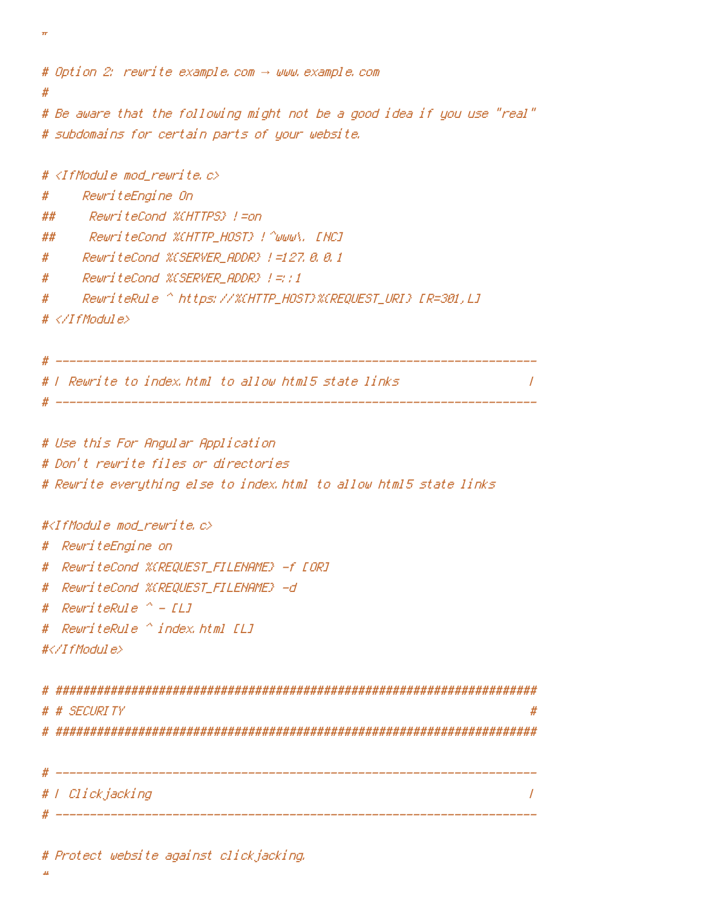```
# Option 2; rewrite example.com -> www.example.com
Ħ
# Be aware that the following might not be a good idea if you use "real"
# subdomains for certain parts of your website.
# <IfModule mod rewrite.c>
     RewriteEngine On
#RewriteCood %HITPS} L=on
##
     RewriteCond %CHTTP_HOST} ! ^www\, [NC]
##
```
- # ReuriteCond %(SERVER\_ADDR) !=127.8.8.1
- ReuriteCond %CSERVER\_ADDR} |=::1 #
- #
- $# \langle \angle I$ fModule $\rangle$

 $\boldsymbol{\pi}$ 

# | Rewrite to index.html to allow html5 state links

 $\prime$ 

# Use this For Angular Application

# Don't rewrite files or directories

# Rewrite everything else to index.html to allow html5 state links

### #<IfModule mod rewrite.c>

- # RewriteEngine on
- # RewriteCond %(REQUEST\_FILENAME) -f [OR]
- # ReuriteCond %CREQUEST\_FILENAME} -d
- # RewriteRule  $^{\circ}$  [1]
- # RewriteRule ^ index.html [L]

```
#</IfModule>
```

| # |                                     |
|---|-------------------------------------|
|   | # # SECURITY                        |
| # | ################################### |
|   |                                     |
|   |                                     |
|   | #   Clickjacking                    |
|   |                                     |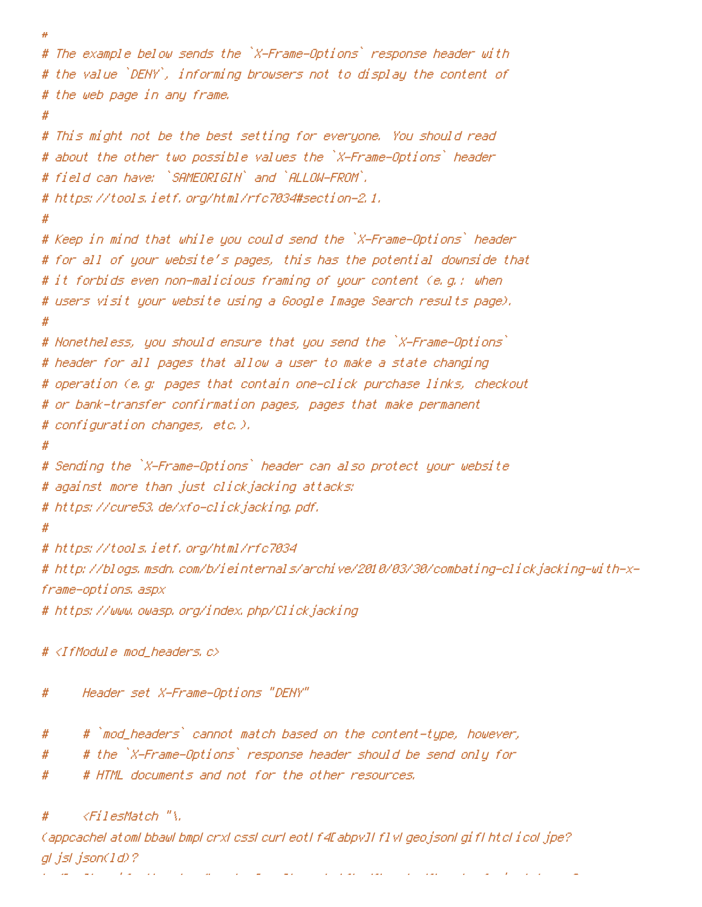```
#
# The example below sends the `X-Frame-Options` response header with
# the value `DENY`, informing browsers not to display the content of
# the web page in any frame.
# This might not be the best setting for everyone. You should read
# about the other two possible values the `X-Frame-Options` header
# field can have: `SAMEORIGIN` and `ALLOW-FROM`,
# https://tools.ietf.org/html/rfc7034#section-2.1.
#
# Keep in mind that while you could send the `X-Frame-Options` header
# for all of your website's pages, this has the potential downside that
# it forbids even non-malicious framing of your content (e.g.: when
# users visit your website using a Google Image Search results page).
# Nonetheless, you should ensure that you send the `X-Frame-Options`
# header for all pages that allow a user to make a state changing
# operation (e.g. pages that contain one-click purchase links, checkout
# or bank-transfer confirmation pages, pages that make permanent
# configuration changes, etc.),
Ħ
# Sending the `X-Frame-Options` header can also protect your website
# against more than just clickjacking attacks:
# https://cure53.de/xfo-clickjacking.pdf.
#
# https://tools.ietf.org/html/rfc7034
# http://blogs.msdn.com/b/ieinternals/archive/2010/03/30/combating-clickjacking-with-x-
frame-options, aspx
# https://www.owasp.org/index.php/Clickjacking
# <IfModule mod headers, c>
```
- Header set X-Frame-Options "DENY" #
- #`mod\_headers` cannot match based on the content-type, however, #
- # the `X-Frame-Options` response header should be send only for #
- # HTML documents and not for the other resources. #

<FilesMatch "\. #

Cappcachel atoml bbawl bmpl crxl cssl curl eotl f4EabpvJI f1vl geojsonl gif1 htcl icol jpe? gl .jsl .json(1d)?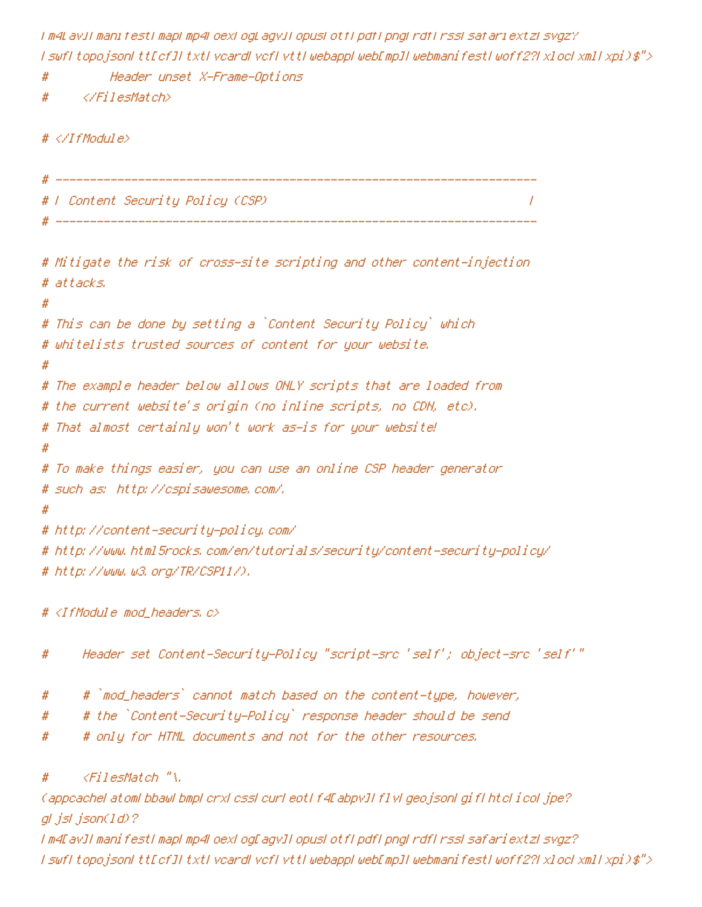I m4LavII manifestI mapI mp4LoexLogLagvII opusLotfI pdfI pngLrdfLrssLsafariextzLsvgz? I swfI topojsonI ttEcfJI txtI vcardI vcfI vttI webappI webEmpJI webmanifestI woff2?I xlocI xmlI xpi)\$">

# Header unset X-Frame-Options

```
</FilesMatch>
#
```
 $\# \langle \angle If$ Module $\rangle$ 

```
# F Content Security Policy (CSP)
                       \overline{I}
```
# Mitigate the risk of cross-site scripting and other content-injection. # attacks. #

```
# This can be done by setting a `Content Security Policy` which
# whitelists trusted sources of content for your website.
```
#

```
# The example header below allows ONLY scripts that are loaded from
# the current website's origin (no inline scripts, no CDN, etc).
```

```
# That almost certainly won't work as—is for your website!
```
#

```
# To make things easier, you can use an online CSP header generator.
# such as: http://cspisawesome.com/.
```
## #

```
# http://content-security-policy.com/
# http://www.html5rocks.com/en/tutorials/security/content-security-policy/
```

```
# http://www.w3.org/TR/CSP11/).
```

```
# <IfModule mod_headers,c>
```
Header set Content-Security-Policy "script-src 'self'; object-src 'self'" #

- # `mod\_headers` cannot match based on the content-type, however, #
- # the `Content-Security-Policy` response header should be send #
- # only for HTML documents and not for the other resources. #

### <FilesMatch "\. #

(appcachel atoml bbawl bmpl crxl cssl curl eotl f4EabpvJI f1vl geojsonl gif1 htcl i col jpe?) gl jsl json(1d)?

I m4EavII manifestI mapI mp4LoexLogEagvII opusLotfLpdfLpngLrdfLrssLsafariextzLsvgz? I swfI topojsonI ttEcfJI txtI vcardI vcfI vttI webappI webEmpJI webmanifestI woff2?I xlocI xmlI xpi)\$">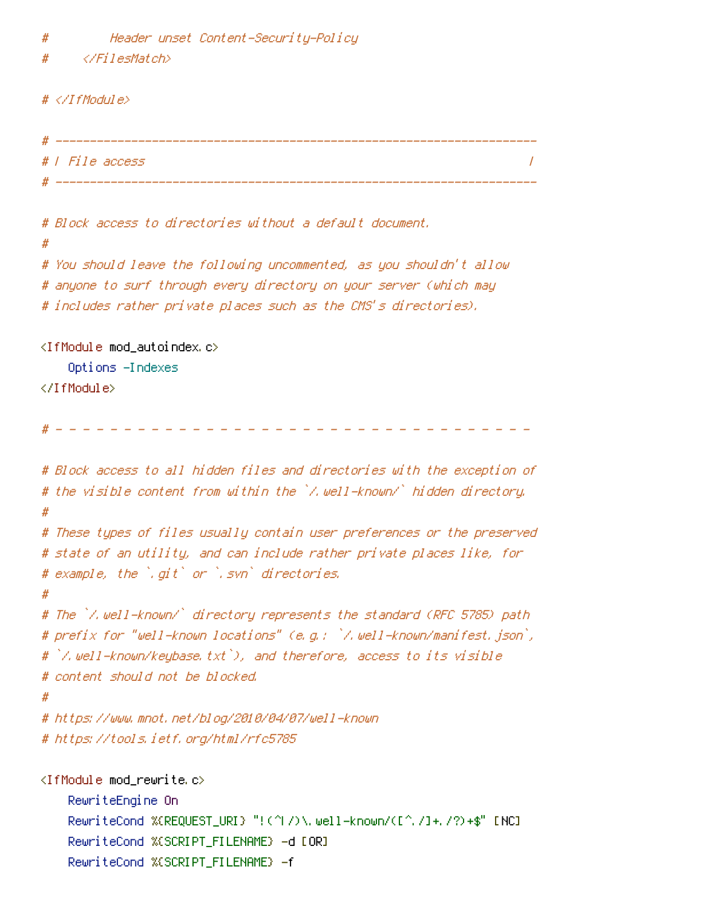$#$ Header unset Content-Security-Policy

```
\langle/FilesMatch>
#
```
 $# \langle \angle If$ Module $\rangle$ 

```
# | File access
                                                                                                                        \overline{1}
```

```
# Block access to directories without a default document.
#
# You should leave the following uncommented, as you shouldn't allow
# anyone to surf through every directory on your server (which may
# includes rather private places such as the CMS's directories).
<IfModule mod_autoindex.c>
    Options -Indexes
</TfModule>
# Block access to all hidden files and directories with the exception of
# the visible content from within the `/.well-known/` hidden directory.
## These types of files usually contain user preferences or the preserved
# state of an utility, and can include rather private places like, for
# example, the `.git` or `.svn` directories.
Ħ
# The `/.well-known/` directory represents the standard (RFC 5785) path
# prefix for "well-known locations" (e.g.: `/.well-known/manifest.json`,
# [/,well-known/keubase.txt]), and therefore, access to its visible
# content should not be blocked.
#
# https://www.mnot.net/blog/2010/04/07/well-known
# https://tools.ietf.org/html/rfc5785
\langleIfModule mod rewrite.c\rangle
```
RewriteEngine On RewriteCond %(REQUEST\_URI) "!(^|/)\,well=known/([^,/]+,/?)+\$" [NC] RewriteCond %(SCRIPT\_FILENAME) -d [OR] RewriteCond %(SCRIPT\_FILENAME) -f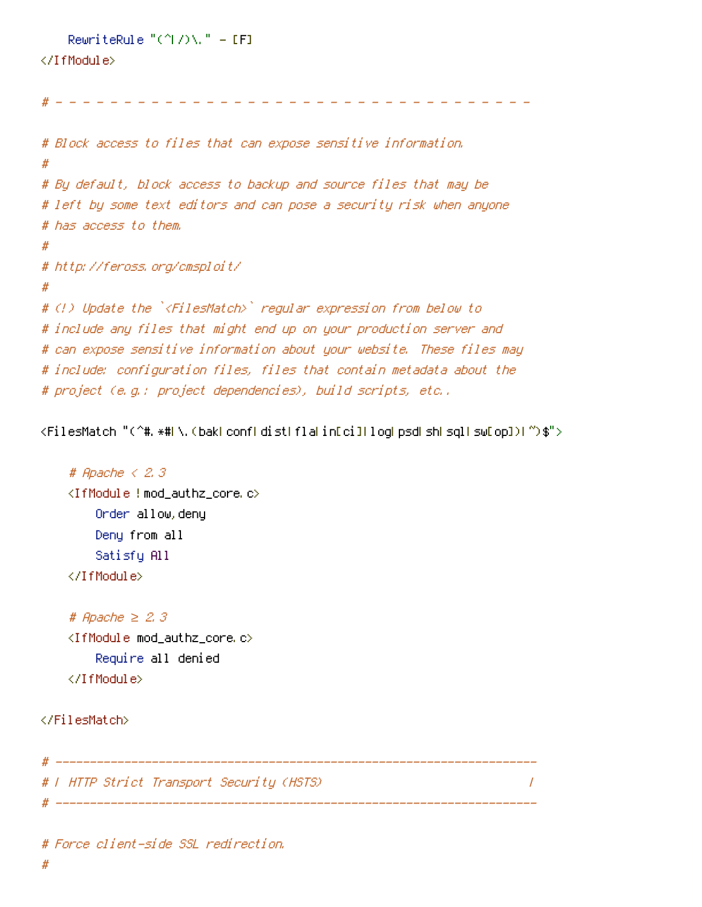```
RewriteRule "(^L/)\." = [F]
```
### </IfModule>

# Block access to files that can expose sensitive information. # # By default, block access to backup and source files that may be # left by some text editors and can pose a security risk when anyone # has access to them.  $#$ # http://feross.org/cmsploit/ # # (!) Update the `<FilesMatch>` regular expression from below to # include any files that might end up on your production server and # can expose sensitive information about your website. These files may # include: configuration files, files that contain metadata about the # project (e.g.: project dependencies), build scripts, etc..

<FilesMatch "(^#, \*#| \, (bak| conf| dist| fla| in[ci]| loq| psd| sh| sql| sw[op])| ~)\$">

```
# Apache \langle 2, 3 \rangle<IfModule !mod_authz_core.c>
    Order allow, deny
    Deny from all
    Satisfy All
</IfModule>
```

```
# Apache \geq 2.3
<IfModule mod_authz_core.c>
    Require all denied
</IfModule>
```
</FilesMatch>

# | HTTP Strict Transport Security (HSTS) 

 $\prime$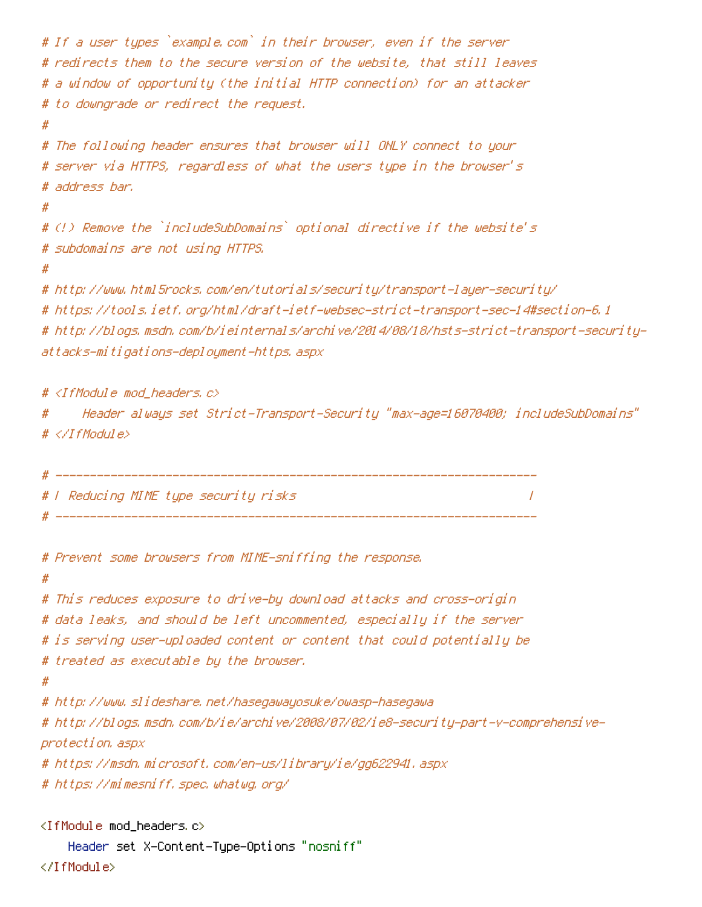```
# If a user types `example.com` in their browser, even if the server
# redirects them to the secure version of the website, that still leaves
# a window of opportunity (the initial HTTP connection) for an attacker
# to downgrade or redirect the request.
#
# The following header ensures that browser will ONLY connect to your
# server via HTTPS, regardless of what the users type in the browser's
# address bar.
# (!) Remove the `includeSubDomains` optional directive if the website's
# subdomains are not using HTTPS.
#
# http://www.html5rocks.com/en/tutorials/security/transport-layer-security/
# https://tools.ietf.org/html/draft-ietf-websec-strict-transport-sec-14#section-6.1
# http://blogs.msdn.com/b/ieinternals/archive/2014/08/18/hsts-strict-transport-security-
attacks-mitigations-deployment-https, aspx
```
# <IfModule mod\_headers, c>

"Header always set Strict-Transport-Security "max-age=16070400; includeSubDomains #  $\# \langle \angle I$ f Modul e $\rangle$ 

```
# F Reducing MIME type security risks
                             \prime
```

```
# Prevent some browsers from MIME-sniffing the response.
#
# This reduces exposure to drive-by download attacks and cross-origin
# data leaks, and should be left uncommented, especially if the server
# is serving user-uploaded content or content that could potentially be
# treated as executable by the browser.
#
# http://www.slideshare.net/hasegawayosuke/owasp-hasegawa
# http://blogs.msdn.com/b/ie/archive/2008/07/02/ie8-security-part-v-comprehensive-
protection, aspx
# https://msdn.microsoft.com/en-us/library/ie/gg622941.aspx
# https://mimesniff.spec.whatwg.org/
<IfModule mod_headers.c>
    Header set X–Content–Type–Options "nosniff"
```
</IfModule>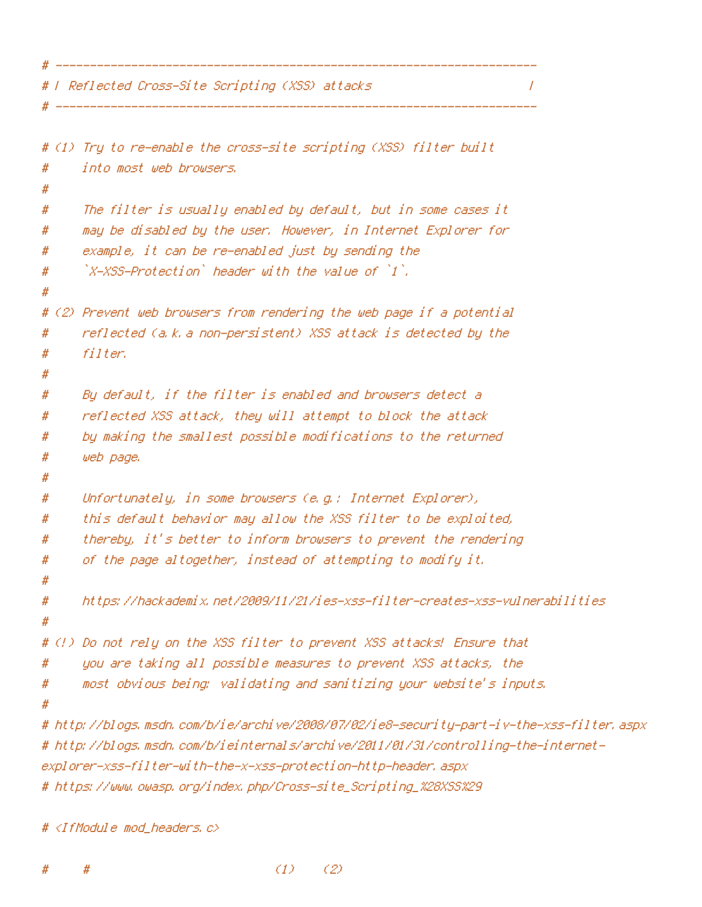# F Reflected Cross-Site Scripting (XSS) attacks

```
# (1) Tru to re-enable the cross-site scripting (XSS) filter built
      into most web browsers.
#
Ħ
      The filter is usually enabled by default, but in some cases it
#
      may be disabled by the user. However, in Internet Explorer for
#
      example, it can be re-enabled just by sending the
#
      \mathbb{Z}-XSS-Protection header with the value of \mathbb{Z}^2.
#
#
# (2) Prevent web browsers from rendering the web page if a potential
      reflected (a.k.a non-persistent) XSS attack is detected by the
#
      filter.#
#
#
      By default, if the filter is enabled and browsers detect a
      reflected XSS attack, they will attempt to block the attack
#
      by making the smallest possible modifications to the returned
#
      web page.
#
#
#
      Unfortunately, in some browsers (e.g.: Internet Explorer),
      this default behavior may allow the XSS filter to be exploited,
#
      thereby, it's better to inform browsers to prevent the rendering
#
      of the page altogether, instead of attempting to modify it.
#
#
#
      https://hackademix.net/2009/11/21/ies-xss-filter-creates-xss-vulnerabilities
#
# (!) Do not rely on the XSS filter to prevent XSS attacks! Ensure that
      uou are taking all possible measures to prevent XSS attacks, the
#
      most obvious being: validating and sanitizing your website's inputs.
#
# http://blogs.msdn.com/b/ie/archive/2008/07/02/ie8-security-part-iv-the-xss-filter.aspx
# http://blogs.msdn.com/b/ieinternals/archive/2011/01/31/controlling-the-internet-
explorer-xss-filter-with-the-x-xss-protection-http-header, aspx
```
 $\overline{I}$ 

```
# https://www.owasp.org/index.php/Cross-site_Scripting_%28XSS%29
```
#  $\langle$ IfModule mod headers,  $c$ >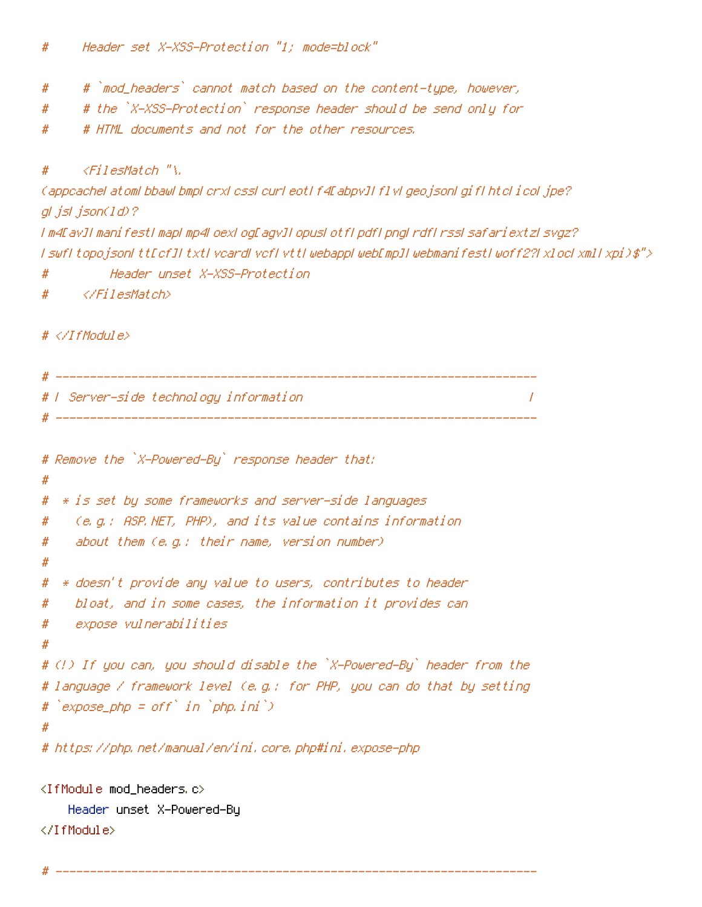- # `mod\_headers` cannot match based on the content-type, however,  $#$
- # the `X-XSS-Protection` response header should be send only for #
- # HTML documents and not for the other resources. #

#### $\langle$ FilesMatch "\.  $#$

```
Cappcachel atoml bbawl bmpl crxl cssl curl eotl f4EabpvJI f1vl geojsonl gif1 htcl icol jpe?
gl.jsl.json(1d)?
I m4EavJI manifestI mapI mp4LoexLogEagvJI opusLotfLpdfLpngLrdfLrssLsafariextzLsvgz?
I swfI topojsonI ttEcfJI txtI vcardI vcfI vttI webappLwebEmpJI webmanifestI woff2?I xlocLxmlI xpi)$">
          Header unset X-XSS-Protection
#
```
 $\overline{1}$ 

</FilesMatch> #

### $# \langle \angle If$ Module $\rangle$

# F Server-side technology information 

```
# Remove the `X-Powered-By` response header that:
#* is set by some frameworks and server-side languages
#
    (e.g.: ASP.NET, PHP), and its value contains information
#
    about them (e.g.: their name, version number)
#
#
  * doesn't provide any value to users, contributes to header
#
#bloat, and in some cases, the information it provides can
    expose vulnerabilities
#
#
# (!) If you can, you should disable the `X-Powered-By` header from the
# language / framework level (e.g.: for PHP, you can do that by setting
# expose\_php = off' in 'php, ini')#
# https://php.net/manual/en/ini.core.php#ini.expose-php
<IfModule mod headers.c>
```

```
Header unset X-Powered-By
</IfModule>
```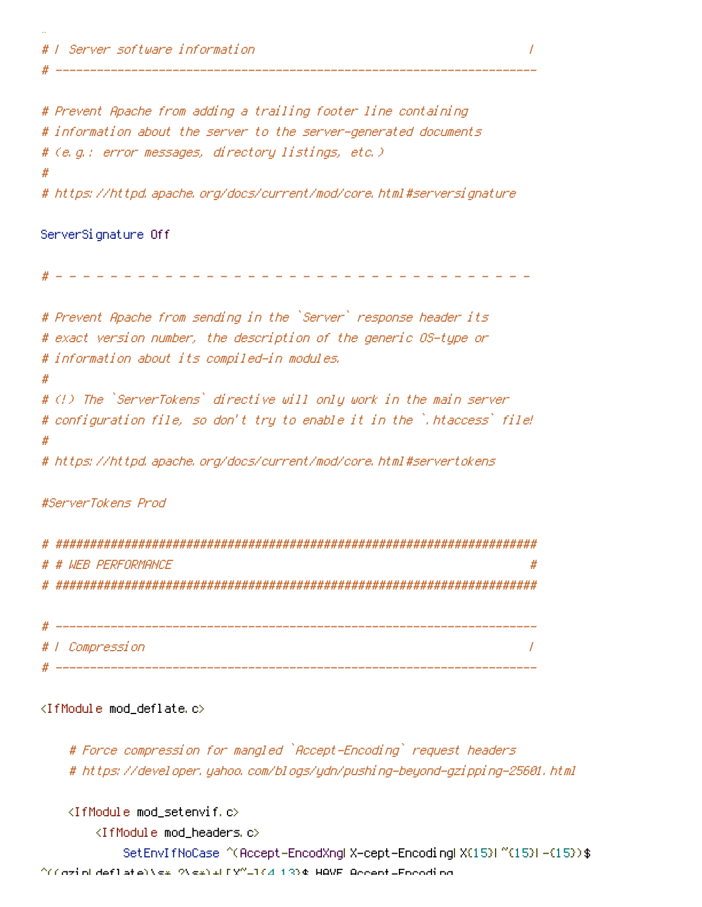# Prevent Apache from adding a trailing footer line containing # information about the server to the server-generated documents # (e.g.: error messages, directory listings, etc.) # # https://httpd.apache.org/docs/current/mod/core.html#serversignature

### ServerSignature Off

÷.

--------------------------------

| # Prevent Apache from sending in the `Server` response header its        |
|--------------------------------------------------------------------------|
| # exact version number, the description of the generic OS-type or        |
| # information about its compiled-in modules.                             |
| #                                                                        |
| # (!) The `ServerTokens` directive will only work in the main server     |
| # configuration file, so don't try to enable it in the `.htaccess` file! |
| #                                                                        |
| # https://httpd.apache.org/docs/current/mod/core.html#servertokens       |
|                                                                          |
|                                                                          |

### #ServerTokens Prod

| # # WFR PFRFNRMANCF<br># |
|--------------------------|
|                          |
|                          |
|                          |

| # | _________<br>' nmnressinn |      |
|---|---------------------------|------|
|   |                           | ---- |

### <IfModule mod\_deflate.c>

# Force compression for mangled `Accept-Encoding` request headers # https://developer.yahoo.com/blogs/ydn/pushing-beyond-gzipping-25601.html

<IfModule mod\_setenvif.c>

<IfModule mod\_headers.c>

SetEnvIfNoCase ^(Accept-EncodXngl X-cept-Encodingl X(15)1 ^(15)1-(15)) \$  $\gamma$ (cziplideflate)\s\* 2\s\*)+LEX"-1{4 13}\$ HAVE Accent-Epooding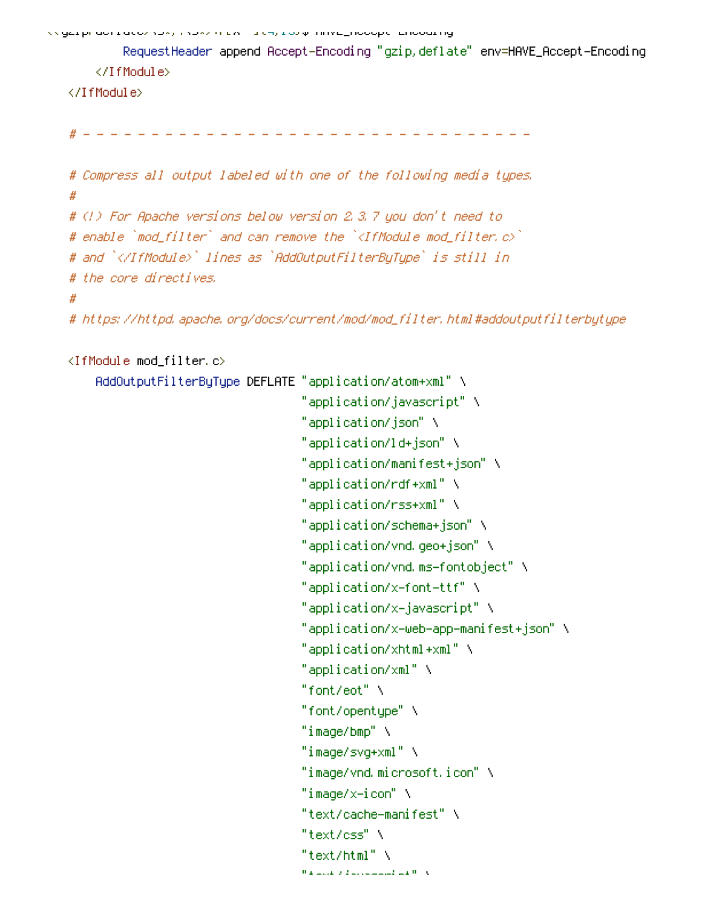vygzipi dori acozyczy syczymicki michycorp i inveznocopemericourrig

RequestHeader append Accept-Encoding "gzip, deflate" env=HAVE\_Accept-Encoding </IfModule>

</IfModule>

```
# Compress all output labeled with one of the following media types.
## (!) For Apache versions below version 2.3.7 you don't need to
# enable `mod_filter` and can remove the `<IfModule mod_filter.c>`
# and `</IfModule>` lines as `AddOutputFilterByType` is still in
# the core directives.
#
```
# https://httpd.apache.org/docs/current/mod/mod\_filter.html#addoutputfilterbytype

### <IfModule mod\_filter.c>

| AddOutputFilterByType DEFLATE "application/atom+xml" \ |                                         |
|--------------------------------------------------------|-----------------------------------------|
|                                                        | "application/javascript" \              |
|                                                        | "application/json" \                    |
|                                                        | "application/ld+json" \                 |
|                                                        | "application/manifest+json" \           |
|                                                        | "application/rdf+xml" \                 |
|                                                        | "application/rss+xml" \                 |
|                                                        | "application/schema+json" \             |
|                                                        | "application/vnd.geo+json" \            |
|                                                        | "application/vnd.ms-fontobject" \       |
|                                                        | "application/x-font-ttf" \              |
|                                                        | "application/x-javascript" \            |
|                                                        | "application/x-web-app-manifest+json" \ |
|                                                        | "application/xhtml+xml" \               |
|                                                        | "application/xml" \                     |
|                                                        | "font/eot" $\lambda$                    |
|                                                        | "font/opentype" \                       |
|                                                        | "image/bmp" \                           |
|                                                        | "image/svq+xml" \                       |
|                                                        | "image/vnd.microsoft.icon" \            |
|                                                        | "image/x-icon" \                        |
|                                                        | "text/cache-manifest" \                 |
|                                                        | "text/css" \                            |
|                                                        | "text/html" $\lambda$                   |
|                                                        | والأراف فسألت المستنبذة والقريمانية     |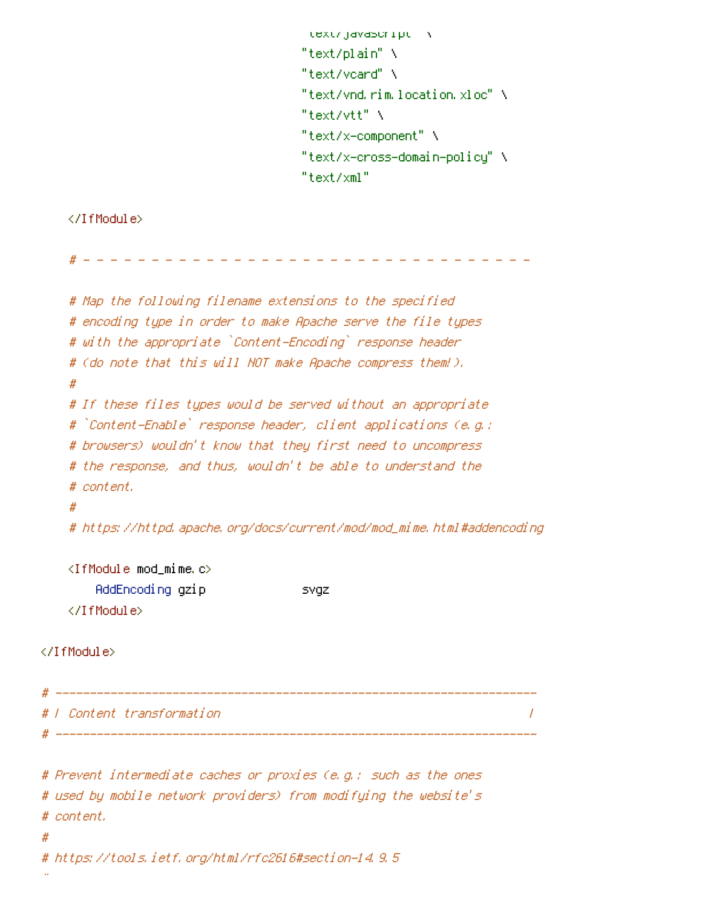```
text/javascript \
"text/plain" \
"text/voard" \
"text/vnd.rim.location.xloc" \
"text/vtt" \
"text/x-component" \
"text/x-cross-domain-policy" \
"text/xml"
```
### </IfModule>

```
# Map the following filename extensions to the specified
   # encoding type in order to make Apache serve the file types
   # with the appropriate `Content-Encoding` response header
   # (do note that this will NOT make Apache compress them!).
   ## If these files types would be served without an appropriate
   # `Content-Enable` response header, client applications (e.g.;
   # browsers) wouldn't know that they first need to uncompress
   # the response, and thus, wouldn't be able to understand the
   # content,
   ## https://httpd.apache.org/docs/current/mod/mod_mime.html#addencoding
   \langleIfModule mod_mime.c\rangleAddEncoding gzip
                                 svgz
   </IfModule>
</IfModule>
                          # ------------
# 1 Content transformation
                                                                 \overline{I}# Prevent intermediate caches or proxies (e.g.: such as the ones
```

```
# used by mobile network providers) from modifying the website's
# content.
```
# https://tools.ietf.org/html/rfc2616#section-14.9.5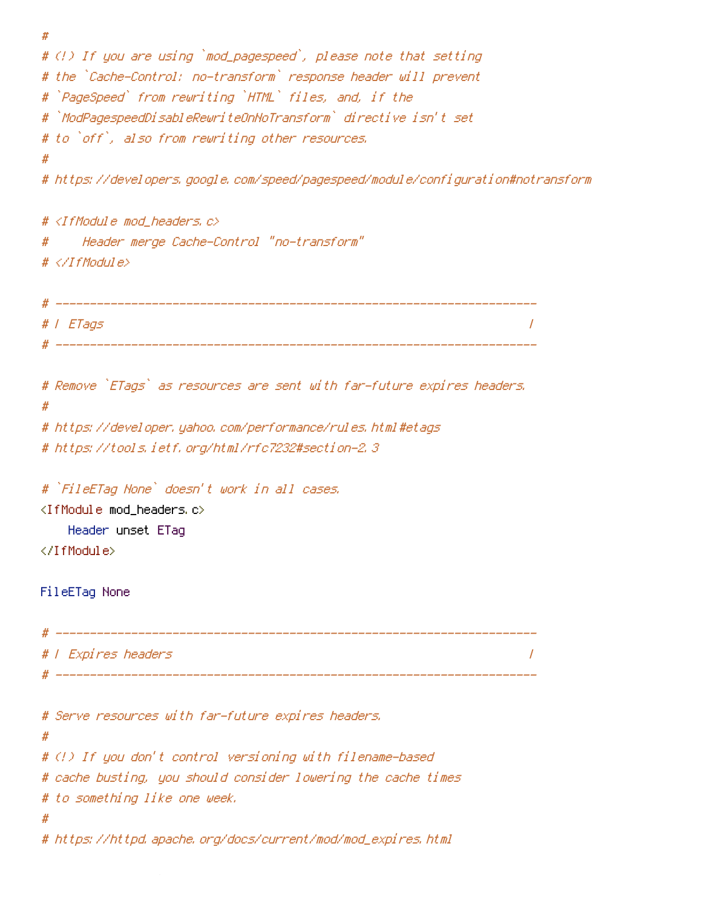```
#
# (!) If you are using `mod_pagespeed`, please note that setting
# the `Cache-Control: no-transform` response header will prevent
# `PageSpeed` from rewriting `HTML` files, and, if the
# `ModPagespeedDisableRewriteOnNoTransform` directive isn't set
# to `off`, also from rewriting other resources.
# https://developers.google.com/speed/pagespeed/module/configuration#notransform
# <IfModule mod_headers, c>
     Header merge Cache-Control "no-transform"
#
\# \langle \angle IfModule\rangle# | ETags
                                                             \prime# Remove `ETags` as resources are sent with far-future expires headers.
#
# https://developer.yahoo.com/performance/rules.html#etags
# https://tools.ietf.org/html/rfc7232#section-2.3
# `FileETag None` doesn't work in all cases,
<IfModule mod_headers.c>
   Header unset ETag
</IfModule>
FileETag None
# | Expires headers
                                                             \prime# Serve resources with far-future expires headers.
## (!) If you don't control versioning with filename-based
# cache busting, you should consider lowering the cache times
# to something like one week.
# https://httpd.apache.org/docs/current/mod/mod_expires.html
```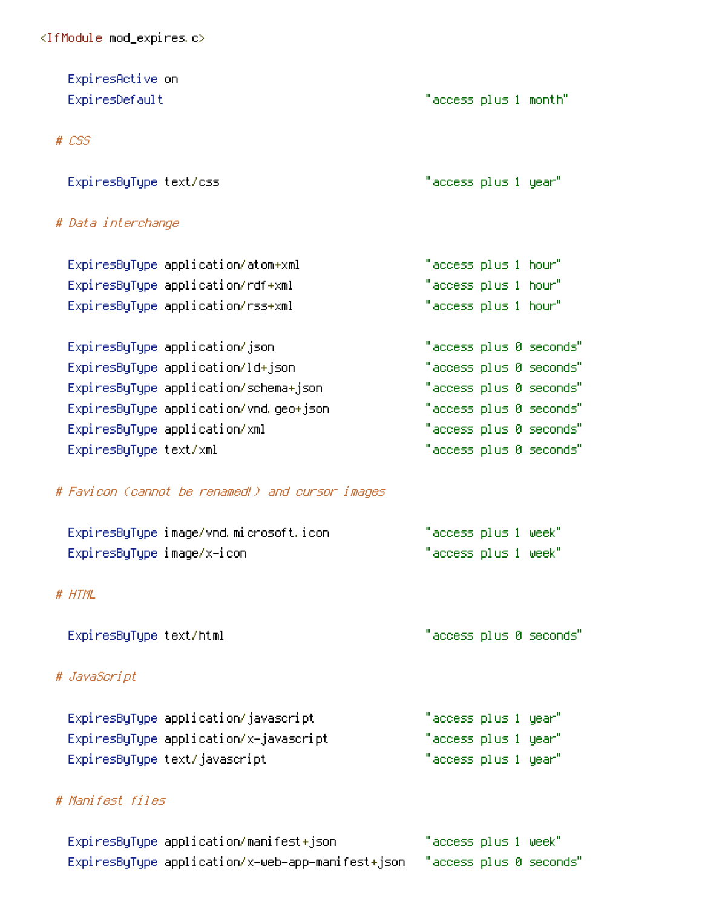| ExpiresActive on                                 |                            |  |                         |
|--------------------------------------------------|----------------------------|--|-------------------------|
| ExpiresDefault                                   | "access plus 1 month"      |  |                         |
|                                                  |                            |  |                         |
| # CSS                                            |                            |  |                         |
|                                                  |                            |  |                         |
| ExpiresByType text/css                           | "access plus 1 year"       |  |                         |
|                                                  |                            |  |                         |
| # Data interchange                               |                            |  |                         |
|                                                  |                            |  |                         |
| ExpiresByType application/atom+xml               | "access plus 1 hour"       |  |                         |
| ExpiresByType application/rdf+xml                | "access plus 1 hour"       |  |                         |
| ExpiresByType application/rss+xml                | "access plus 1 hour"       |  |                         |
|                                                  |                            |  |                         |
| ExpiresByType application/json                   |                            |  | "access plus 0 seconds" |
| ExpiresByType application/ld+json                |                            |  | "access plus 0 seconds" |
| ExpiresByType application/schema+json            |                            |  | "access plus 0 seconds" |
| ExpiresByType application/vnd.geo+json           |                            |  | "access plus 0 seconds" |
| ExpiresByType application/xml                    |                            |  | "access plus 0 seconds" |
| ExpiresByType text/xml                           |                            |  | "access plus 0 seconds" |
|                                                  |                            |  |                         |
| # Favicon (cannot be renamed!) and cursor images |                            |  |                         |
|                                                  |                            |  |                         |
| ExpiresByType image/vnd.microsoft.icon           | $"$ access plus 1 week $"$ |  |                         |
| ExpiresByType image/x-icon                       | "access plus 1 week"       |  |                         |
|                                                  |                            |  |                         |
| # HTML                                           |                            |  |                         |
|                                                  |                            |  |                         |
| ExpiresByType text/html                          |                            |  | "access plus 0 seconds" |
|                                                  |                            |  |                         |
| # JavaScript                                     |                            |  |                         |
|                                                  |                            |  |                         |
| ExpiresByType application/javascript             | "access plus 1 year"       |  |                         |
| ExpiresByType application/x-javascript           | "access plus 1 year"       |  |                         |
| ExpiresByType text/javascript                    | "access plus 1 year"       |  |                         |
|                                                  |                            |  |                         |
| # Manifest files                                 |                            |  |                         |
|                                                  |                            |  |                         |
|                                                  |                            |  |                         |

 $"$ access plus 1 week" ExpiresByType application/manifest+json ExpiresByType application/x-web-app-manifest+json "access plus 0 seconds"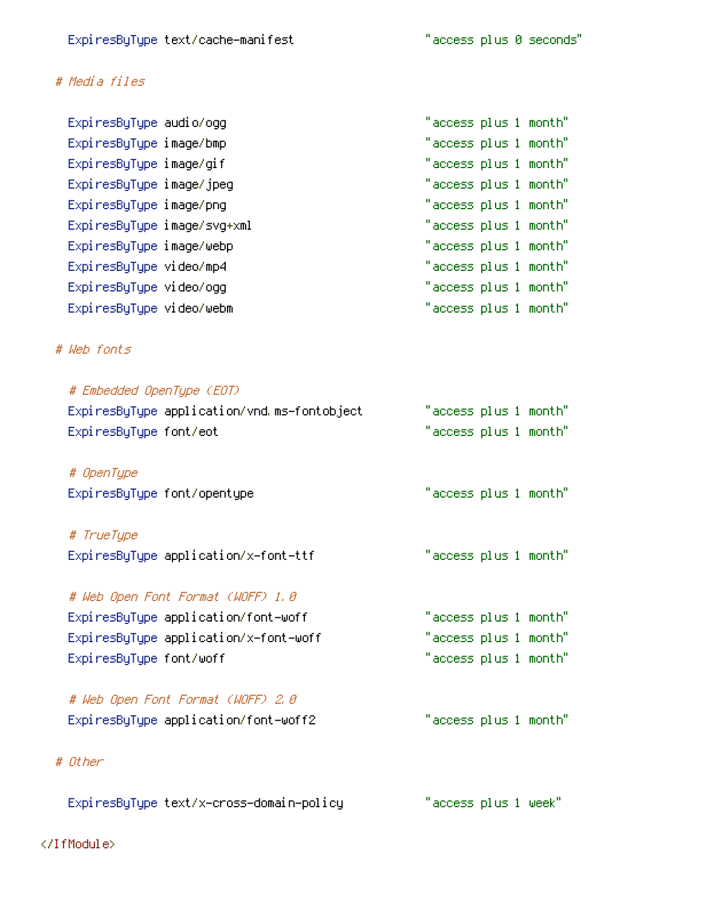# # Media files

| Expi resByType audio/ogg    | "access plus 1 month" |  |
|-----------------------------|-----------------------|--|
| ExpiresByType image/bmp     | "access plus 1 month" |  |
| ExpiresByType image/gif     | "access plus 1 month" |  |
| ExpiresByType image/jpeg    | "access plus 1 month" |  |
| ExpiresByType image/png     | "access plus 1 month" |  |
| ExpiresByType image/svg+xml | "access plus 1 month" |  |
| ExpiresByType image/webp    | "access plus 1 month" |  |
| ExpiresByType video/mp4     | "access plus 1 month" |  |
| ExpiresByType video/ogg     | "access plus 1 month" |  |
| ExpiresByType video/webm    | "access plus 1 month" |  |

# # Web fonts

| # Embedded OpenType (EOT)                   |                       |  |
|---------------------------------------------|-----------------------|--|
| ExpiresByType application/vnd.ms-fontobject | "access plus 1 month" |  |
| ExpiresByType font/eot                      | "access plus 1 month" |  |
|                                             |                       |  |
| # OpenType                                  |                       |  |
| ExpiresByType font/opentype                 | "access plus 1 month" |  |
|                                             |                       |  |
| # TrueTupe                                  |                       |  |
| ExpiresByType application/x-font-ttf        | "access plus 1 month" |  |
|                                             |                       |  |
| # Web Open Font Format (WOFF) 1,0           |                       |  |
| ExpiresByType application/font-woff         | "access plus 1 month" |  |
| ExpiresByType application/x-font-woff       | "access plus 1 month" |  |
| ExpiresByType font/woff                     | "access plus 1 month" |  |
|                                             |                       |  |
| # Web Open Font Format (WOFF) 2.0           |                       |  |
| ExpiresByType application/font-woff2        | "access plus 1 month" |  |
|                                             |                       |  |
| # Other                                     |                       |  |
|                                             |                       |  |
| ExpiresByType text/x-cross-domain-policy    | "access plus 1 week"  |  |
|                                             |                       |  |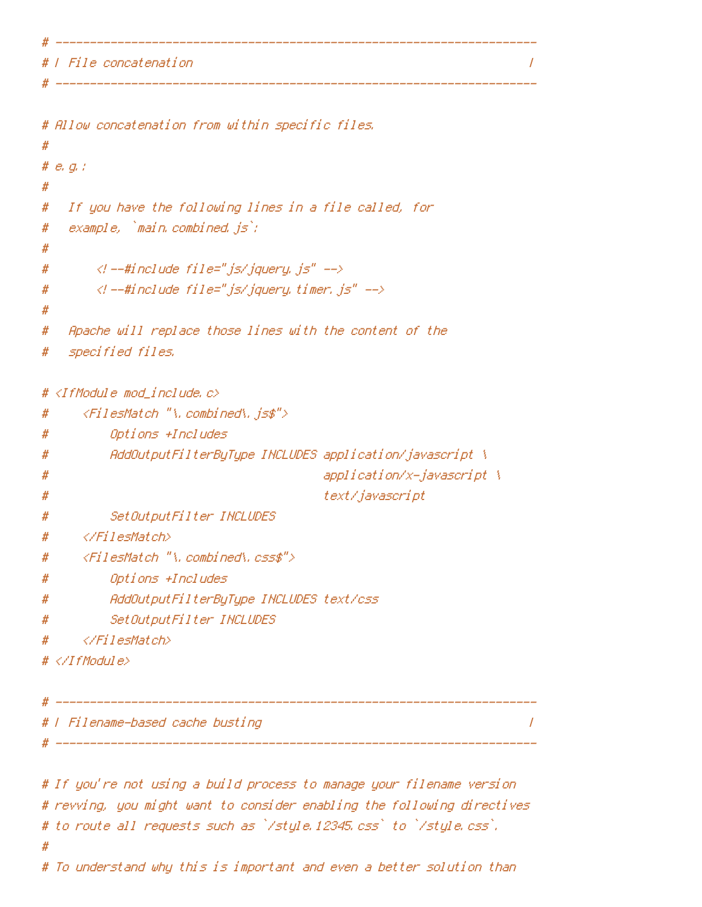*I File concatenation* 

\_\_\_\_\_\_\_\_\_\_\_\_\_\_\_\_

```
# Allow concatenation from within specific files.
#
# e, g, f#
   If you have the following lines in a file called, for
#
   example, `main.combined.js`;
#
#
        \langlel --#include file="js/jquery, js" -->
#
       \langle l --#include file="js/jquery.timer.js" -->
#
#
   Apache will replace those lines with the content of the
#
#
   specified files.
# <IfModule mod_include.c>
      <FilesMatch "\.combined\.js$">
#
          Options +Includes
#
         AddOutputFilterByType INCLUDES application/javascript \
#
                                         application/x-javascript \
#
                                         text/javascript
#
          SetOutputFilter INCLUDES
#
     </FilesMatch>
#
     <FilesMatch "\.combined\.css$">
#
          Options +Includes
#
         AddOutputFilterByType INCLUDES text/css
#
          SetOutputFilter INCLUDES
#
     </FilesMatch>
#
\# \langle \angle If Modul e\rangle# | Filename-based cache busting
# -------------------
# If you're not using a build process to manage your filename version
# revving, you might want to consider enabling the following directives
```
 $\prime$ 

 $\prime$ 

# to route all requests such as `/style.12345.css` to `/style.css`.

# To understand why this is important and even a better solution than